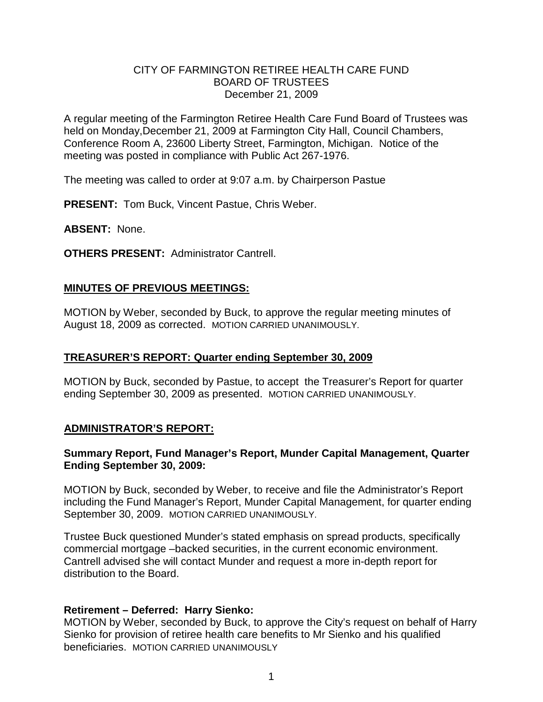## CITY OF FARMINGTON RETIREE HEALTH CARE FUND BOARD OF TRUSTEES December 21, 2009

A regular meeting of the Farmington Retiree Health Care Fund Board of Trustees was held on Monday, December 21, 2009 at Farmington City Hall, Council Chambers, Conference Room A, 23600 Liberty Street, Farmington, Michigan. Notice of the meeting was posted in compliance with Public Act 267-1976.

The meeting was called to order at 9:07 a.m. by Chairperson Pastue

**PRESENT:** Tom Buck, Vincent Pastue, Chris Weber.

**ABSENT:** None.

**OTHERS PRESENT:** Administrator Cantrell.

# **MINUTES OF PREVIOUS MEETINGS:**

MOTION by Weber, seconded by Buck, to approve the regular meeting minutes of August 18, 2009 as corrected. MOTION CARRIED UNANIMOUSLY.

## **TREASURER'S REPORT: Quarter ending September 30, 2009**

MOTION by Buck, seconded by Pastue, to accept the Treasurer's Report for quarter ending September 30, 2009 as presented. MOTION CARRIED UNANIMOUSLY.

# **ADMINISTRATOR'S REPORT:**

### **Summary Report, Fund Manager's Report, Munder Capital Management, Quarter Ending September 30, 2009:**

MOTION by Buck, seconded by Weber, to receive and file the Administrator's Report including the Fund Manager's Report, Munder Capital Management, for quarter ending September 30, 2009. MOTION CARRIED UNANIMOUSLY.

Trustee Buck questioned Munder's stated emphasis on spread products, specifically commercial mortgage –backed securities, in the current economic environment. Cantrell advised she will contact Munder and request a more in-depth report for distribution to the Board.

# **Retirement – Deferred: Harry Sienko:**

MOTION by Weber, seconded by Buck, to approve the City's request on behalf of Harry Sienko for provision of retiree health care benefits to Mr Sienko and his qualified beneficiaries. MOTION CARRIED UNANIMOUSLY